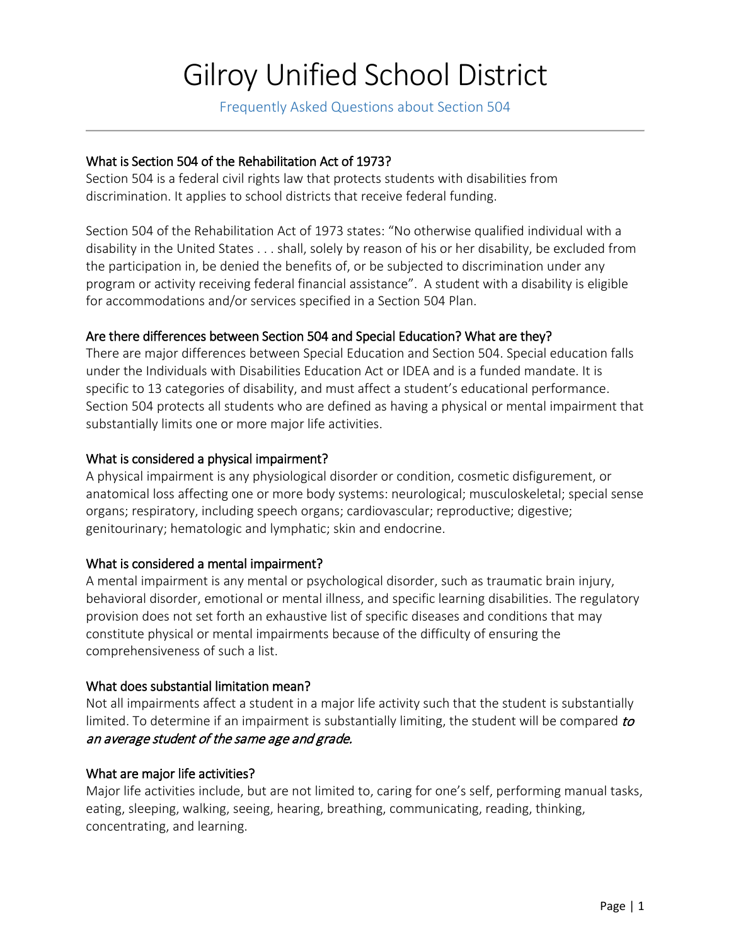# Gilroy Unified School District

Frequently Asked Questions about Section 504

## What is Section 504 of the Rehabilitation Act of 1973?

Section 504 is a federal civil rights law that protects students with disabilities from discrimination. It applies to school districts that receive federal funding.

Section 504 of the Rehabilitation Act of 1973 states: "No otherwise qualified individual with a disability in the United States . . . shall, solely by reason of his or her disability, be excluded from the participation in, be denied the benefits of, or be subjected to discrimination under any program or activity receiving federal financial assistance". A student with a disability is eligible for accommodations and/or services specified in a Section 504 Plan.

## Are there differences between Section 504 and Special Education? What are they?

There are major differences between Special Education and Section 504. Special education falls under the Individuals with Disabilities Education Act or IDEA and is a funded mandate. It is specific to 13 categories of disability, and must affect a student's educational performance. Section 504 protects all students who are defined as having a physical or mental impairment that substantially limits one or more major life activities.

## What is considered a physical impairment?

A physical impairment is any physiological disorder or condition, cosmetic disfigurement, or anatomical loss affecting one or more body systems: neurological; musculoskeletal; special sense organs; respiratory, including speech organs; cardiovascular; reproductive; digestive; genitourinary; hematologic and lymphatic; skin and endocrine.

#### What is considered a mental impairment?

A mental impairment is any mental or psychological disorder, such as traumatic brain injury, behavioral disorder, emotional or mental illness, and specific learning disabilities. The regulatory provision does not set forth an exhaustive list of specific diseases and conditions that may constitute physical or mental impairments because of the difficulty of ensuring the comprehensiveness of such a list.

#### What does substantial limitation mean?

Not all impairments affect a student in a major life activity such that the student is substantially limited. To determine if an impairment is substantially limiting, the student will be compared to an average student of the same age and grade.

#### What are major life activities?

Major life activities include, but are not limited to, caring for one's self, performing manual tasks, eating, sleeping, walking, seeing, hearing, breathing, communicating, reading, thinking, concentrating, and learning.